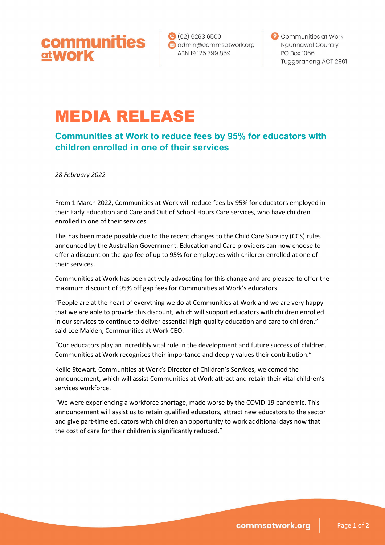$(02)$  6293 6500 communities admin@commsatwork.org **at Work** ABN 19125 799 859

Communities at Work **Ngunnawal Country** PO Box 1066 Tuggeranong ACT 2901

## MEDIA RELEASE

**Communities at Work to reduce fees by 95% for educators with children enrolled in one of their services**

*28 February 2022*

From 1 March 2022, Communities at Work will reduce fees by 95% for educators employed in their Early Education and Care and Out of School Hours Care services, who have children enrolled in one of their services.

This has been made possible due to the recent changes to the Child Care Subsidy (CCS) rules announced by the Australian Government. Education and Care providers can now choose to offer a discount on the gap fee of up to 95% for employees with children enrolled at one of their services.

Communities at Work has been actively advocating for this change and are pleased to offer the maximum discount of 95% off gap fees for Communities at Work's educators.

"People are at the heart of everything we do at Communities at Work and we are very happy that we are able to provide this discount, which will support educators with children enrolled in our services to continue to deliver essential high-quality education and care to children," said Lee Maiden, Communities at Work CEO.

"Our educators play an incredibly vital role in the development and future success of children. Communities at Work recognises their importance and deeply values their contribution."

Kellie Stewart, Communities at Work's Director of Children's Services, welcomed the announcement, which will assist Communities at Work attract and retain their vital children's services workforce.

"We were experiencing a workforce shortage, made worse by the COVID-19 pandemic. This announcement will assist us to retain qualified educators, attract new educators to the sector and give part-time educators with children an opportunity to work additional days now that the cost of care for their children is significantly reduced."